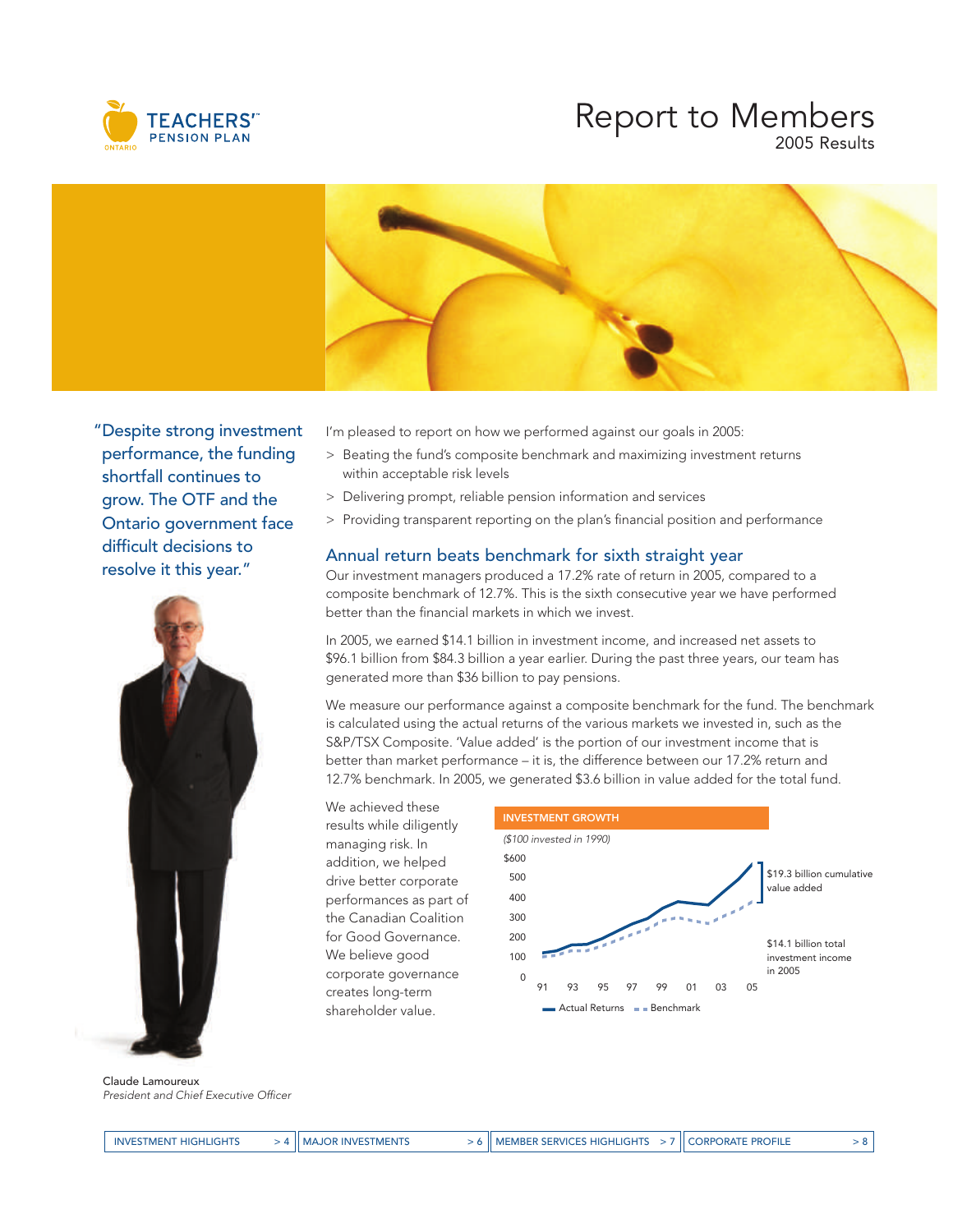

## Report to Members 2005 Results



"Despite strong investment performance, the funding shortfall continues to grow. The OTF and the Ontario government face difficult decisions to resolve it this year."



Claude Lamoureux President and Chief Executive Officer

I'm pleased to report on how we performed against our goals in 2005:

- > Beating the fund's composite benchmark and maximizing investment returns within acceptable risk levels
- > Delivering prompt, reliable pension information and services
- > Providing transparent reporting on the plan's financial position and performance

## Annual return beats benchmark for sixth straight year

Our investment managers produced a 17.2% rate of return in 2005, compared to a composite benchmark of 12.7%. This is the sixth consecutive year we have performed better than the financial markets in which we invest.

In 2005, we earned \$14.1 billion in investment income, and increased net assets to \$96.1 billion from \$84.3 billion a year earlier. During the past three years, our team has generated more than \$36 billion to pay pensions.

We measure our performance against a composite benchmark for the fund. The benchmark is calculated using the actual returns of the various markets we invested in, such as the S&P/TSX Composite. 'Value added' is the portion of our investment income that is better than market performance – it is, the difference between our 17.2% return and 12.7% benchmark. In 2005, we generated \$3.6 billion in value added for the total fund.

We achieved these results while diligently managing risk. In addition, we helped drive better corporate performances as part of the Canadian Coalition for Good Governance. We believe good corporate governance creates long-term shareholder value.

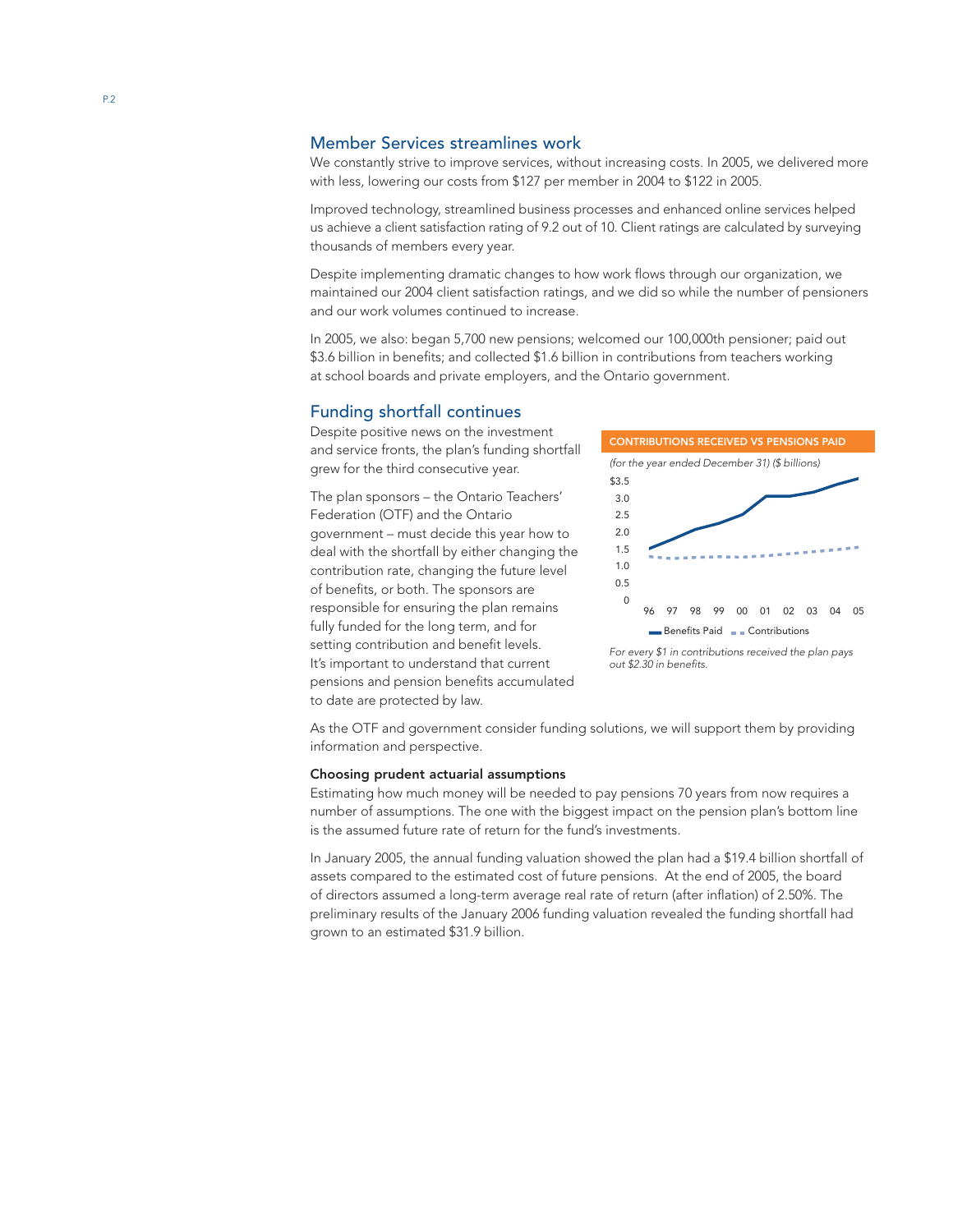### Member Services streamlines work

We constantly strive to improve services, without increasing costs. In 2005, we delivered more with less, lowering our costs from \$127 per member in 2004 to \$122 in 2005.

Improved technology, streamlined business processes and enhanced online services helped us achieve a client satisfaction rating of 9.2 out of 10. Client ratings are calculated by surveying thousands of members every year.

Despite implementing dramatic changes to how work flows through our organization, we maintained our 2004 client satisfaction ratings, and we did so while the number of pensioners and our work volumes continued to increase.

In 2005, we also: began 5,700 new pensions; welcomed our 100,000th pensioner; paid out \$3.6 billion in benefits; and collected \$1.6 billion in contributions from teachers working at school boards and private employers, and the Ontario government.

### Funding shortfall continues

Despite positive news on the investment and service fronts, the plan's funding shortfall grew for the third consecutive year.

The plan sponsors – the Ontario Teachers' Federation (OTF) and the Ontario government – must decide this year how to deal with the shortfall by either changing the contribution rate, changing the future level of benefits, or both. The sponsors are responsible for ensuring the plan remains fully funded for the long term, and for setting contribution and benefit levels. It's important to understand that current pensions and pension benefits accumulated to date are protected by law.



For every \$1 in contributions received the plan pays out \$2.30 in benefits.

As the OTF and government consider funding solutions, we will support them by providing information and perspective.

#### Choosing prudent actuarial assumptions

Estimating how much money will be needed to pay pensions 70 years from now requires a number of assumptions. The one with the biggest impact on the pension plan's bottom line is the assumed future rate of return for the fund's investments.

In January 2005, the annual funding valuation showed the plan had a \$19.4 billion shortfall of assets compared to the estimated cost of future pensions. At the end of 2005, the board of directors assumed a long-term average real rate of return (after inflation) of 2.50%. The preliminary results of the January 2006 funding valuation revealed the funding shortfall had grown to an estimated \$31.9 billion.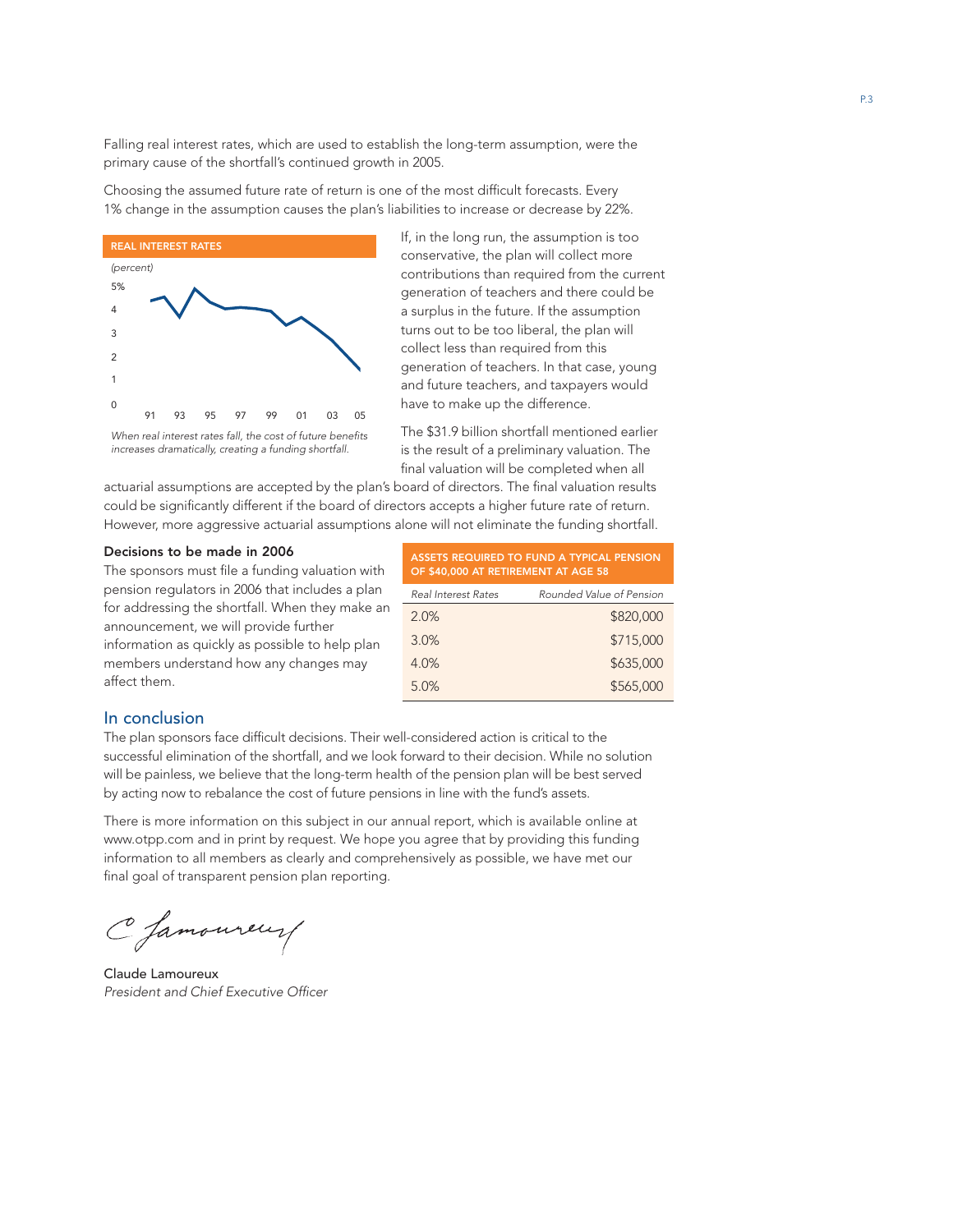Falling real interest rates, which are used to establish the long-term assumption, were the primary cause of the shortfall's continued growth in 2005.

Choosing the assumed future rate of return is one of the most difficult forecasts. Every 1% change in the assumption causes the plan's liabilities to increase or decrease by 22%.



If, in the long run, the assumption is too conservative, the plan will collect more contributions than required from the current generation of teachers and there could be a surplus in the future. If the assumption turns out to be too liberal, the plan will collect less than required from this generation of teachers. In that case, young and future teachers, and taxpayers would have to make up the difference.

The \$31.9 billion shortfall mentioned earlier is the result of a preliminary valuation. The final valuation will be completed when all

actuarial assumptions are accepted by the plan's board of directors. The final valuation results could be significantly different if the board of directors accepts a higher future rate of return. However, more aggressive actuarial assumptions alone will not eliminate the funding shortfall.

#### Decisions to be made in 2006

The sponsors must file a funding valuation with pension regulators in 2006 that includes a plan for addressing the shortfall. When they make an announcement, we will provide further information as quickly as possible to help plan members understand how any changes may affect them.

| ASSETS REQUIRED TO FUND A TYPICAL PENSION<br>OF \$40,000 AT RETIREMENT AT AGE 58 |                          |  |
|----------------------------------------------------------------------------------|--------------------------|--|
| <b>Real Interest Rates</b>                                                       | Rounded Value of Pension |  |
| 2.0%                                                                             | \$820,000                |  |
| 3.0%                                                                             | \$715,000                |  |
| 4.0%                                                                             | \$635,000                |  |
| 5.0%                                                                             | \$565,000                |  |

## In conclusion

The plan sponsors face difficult decisions. Their well-considered action is critical to the successful elimination of the shortfall, and we look forward to their decision. While no solution will be painless, we believe that the long-term health of the pension plan will be best served by acting now to rebalance the cost of future pensions in line with the fund's assets.

There is more information on this subject in our annual report, which is available online at www.otpp.com and in print by request. We hope you agree that by providing this funding information to all members as clearly and comprehensively as possible, we have met our final goal of transparent pension plan reporting.

C Jamoureur

Claude Lamoureux President and Chief Executive Officer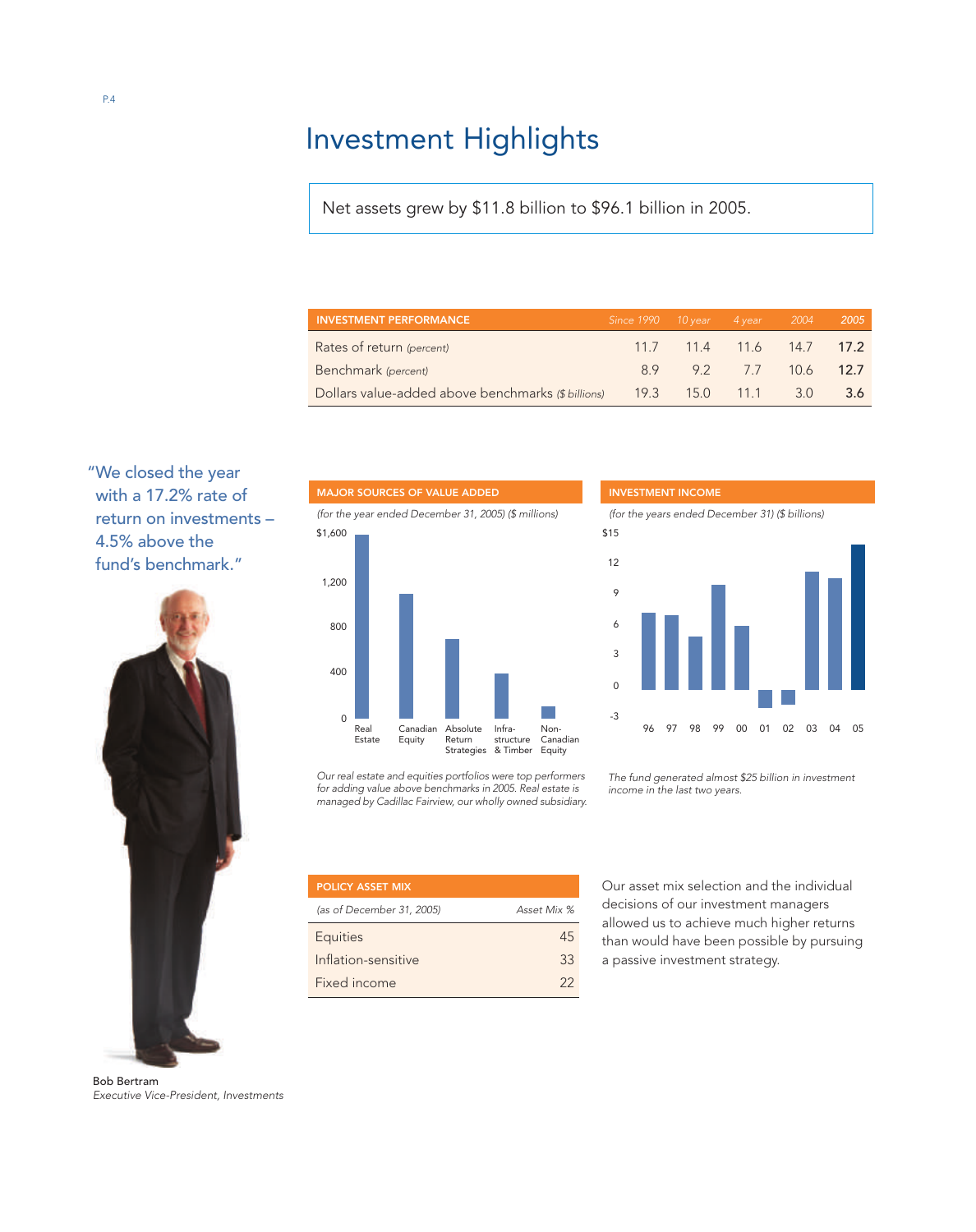## Investment Highlights

Net assets grew by \$11.8 billion to \$96.1 billion in 2005.

| <b>INVESTMENT PERFORMANCE</b>                                         | Since $1990$ $10$ year $4$ year $2004$ |                          |  | 2005 |
|-----------------------------------------------------------------------|----------------------------------------|--------------------------|--|------|
| Rates of return (percent)                                             |                                        | 11.7 11.4 11.6 14.7 17.2 |  |      |
| Benchmark (percent)                                                   |                                        | 8.9 9.2 7.7 10.6 12.7    |  |      |
| Dollars value-added above benchmarks (\$ billions) 19.3 15.0 11.1 3.0 |                                        |                          |  | -3.6 |

"We closed the year with a 17.2% rate of return on investments – 4.5% above the fund's benchmark."



Bob Bertram *Executive Vice-President, Investments*



*Our real estate and equities portfolios were top performers for adding value above benchmarks in 2005. Real estate is managed by Cadillac Fairview, our wholly owned subsidiary.*

| <b>POLICY ASSET MIX</b>   |             |
|---------------------------|-------------|
| (as of December 31, 2005) | Asset Mix % |
| <b>Equities</b>           | 45          |
| Inflation-sensitive       | 33          |
| Fixed income              | 22          |



*(for the years ended December 31) (\$ billions)*



*The fund generated almost \$25 billion in investment income in the last two years.*

*Our asset mix selection and the individual decisions of our investment managers allowed us to achieve much higher returns than would have been possible by pursuing a passive investment strategy.*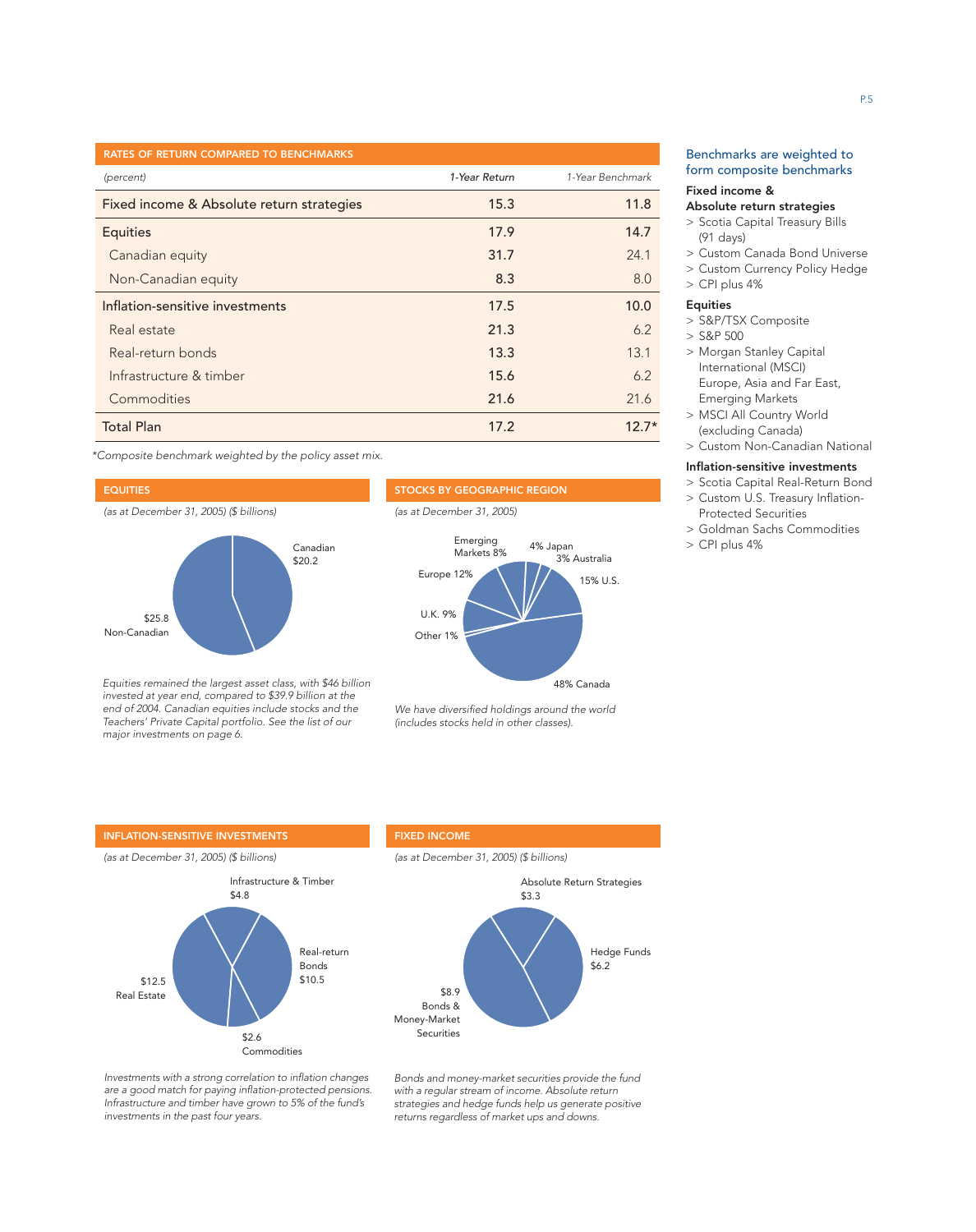| <b>RATES OF RETURN COMPARED TO BENCHMARKS</b> |               |                  |
|-----------------------------------------------|---------------|------------------|
| (percent)                                     | 1-Year Return | 1-Year Benchmark |
| Fixed income & Absolute return strategies     | 15.3          | 11.8             |
| <b>Equities</b>                               | 17.9          | 14.7             |
| Canadian equity                               | 31.7          | 24.1             |
| Non-Canadian equity                           | 8.3           | 8.0              |
| Inflation-sensitive investments               | 17.5          | 10.0             |
| Real estate                                   | 21.3          | 6.2              |
| Real-return bonds                             | 13.3          | 13.1             |
| Infrastructure & timber                       | 15.6          | 6.2              |
| Commodities                                   | 21.6          | 21.6             |
| <b>Total Plan</b>                             | 17.2          | $12.7*$          |

\*Composite benchmark weighted by the policy asset mix.

#### EQUITIES

(as at December 31, 2005) (\$ billions)



Equities remained the largest asset class, with \$46 billion invested at year end, compared to \$39.9 billion at the end of 2004. Canadian equities include stocks and the Teachers' Private Capital portfolio. See the list of our major investments on page 6.



(as at December 31, 2005)



We have diversified holdings around the world (includes stocks held in other classes).

### Benchmarks are weighted to form composite benchmarks

#### Fixed income &

#### Absolute return strategies

- > Scotia Capital Treasury Bills (91 days)
- > Custom Canada Bond Universe
- > Custom Currency Policy Hedge
- > CPI plus 4%

#### Equities

- > S&P/TSX Composite
- > S&P 500
- > Morgan Stanley Capital International (MSCI) Europe, Asia and Far East, Emerging Markets
- > MSCI All Country World (excluding Canada)
- > Custom Non-Canadian National

#### Inflation-sensitive investments

- > Scotia Capital Real-Return Bond
- > Custom U.S. Treasury Inflation-Protected Securities
- > Goldman Sachs Commodities
- > CPI plus 4%

#### INFLATION-SENSITIVE INVESTMENTS

(as at December 31, 2005) (\$ billions)



#### FIXED INCOME

(as at December 31, 2005) (\$ billions)



Investments with a strong correlation to inflation changes are a good match for paying inflation-protected pensions. Infrastructure and timber have grown to 5% of the fund's investments in the past four years.

Bonds and money-market securities provide the fund with a regular stream of income. Absolute return strategies and hedge funds help us generate positive returns regardless of market ups and downs.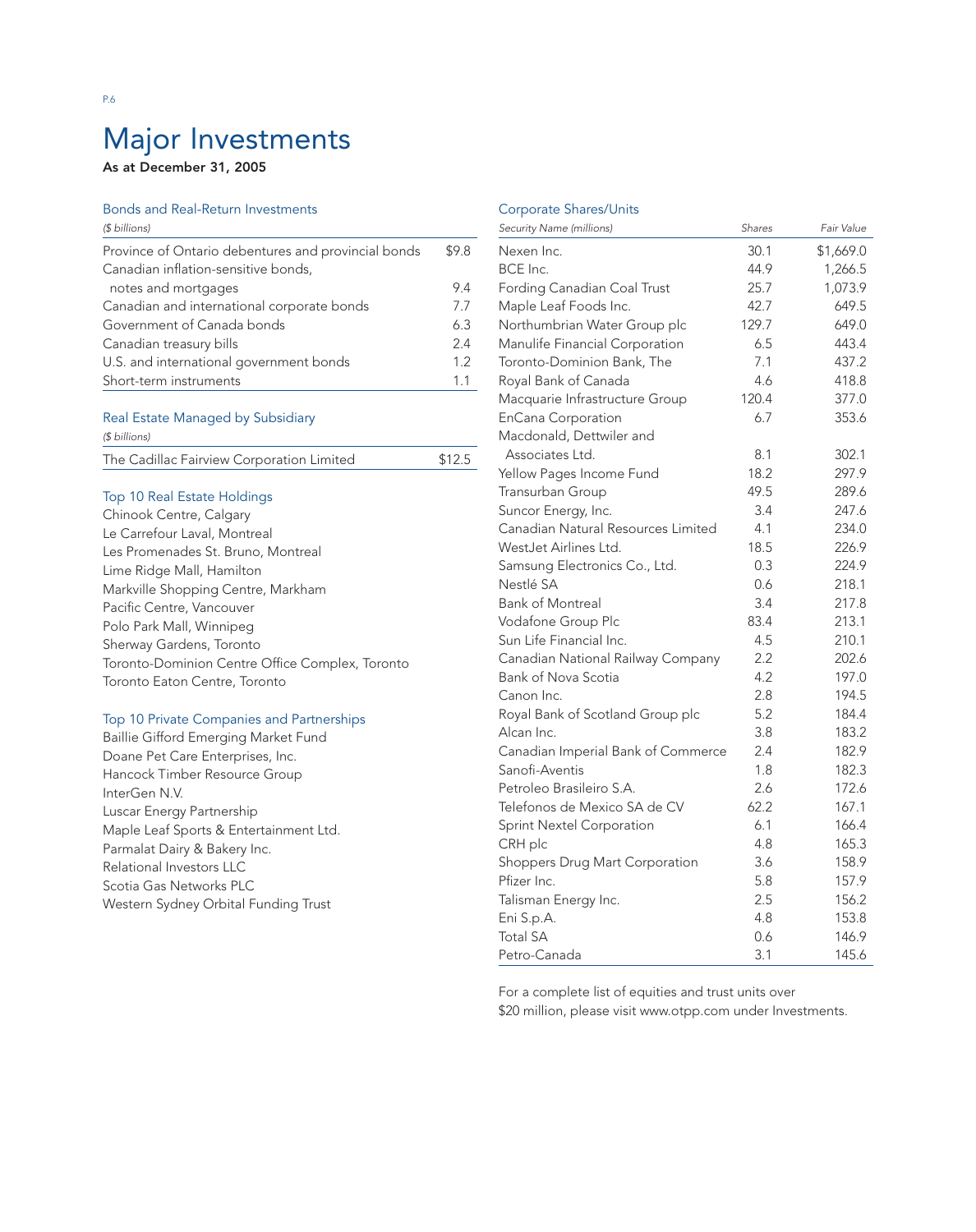## Major Investments

## As at December 31, 2005

## Bonds and Real-Return Investments

| (\$ billions)                                       |                  |
|-----------------------------------------------------|------------------|
| Province of Ontario debentures and provincial bonds | \$9.8            |
| Canadian inflation-sensitive bonds,                 |                  |
| notes and mortgages                                 | 9.4              |
| Canadian and international corporate bonds          | 7.7              |
| Government of Canada bonds                          | 6.3              |
| Canadian treasury bills                             | 2.4              |
| U.S. and international government bonds             | 1.2 <sub>2</sub> |
| Short-term instruments                              | 11               |

#### Real Estate Managed by Subsidiary

| (\$ billions)                             |        |
|-------------------------------------------|--------|
| The Cadillac Fairview Corporation Limited | \$12.5 |

## Top 10 Real Estate Holdings

| Chinook Centre, Calgary                         |
|-------------------------------------------------|
| Le Carrefour Laval, Montreal                    |
| Les Promenades St. Bruno, Montreal              |
| Lime Ridge Mall, Hamilton                       |
| Markville Shopping Centre, Markham              |
| Pacific Centre, Vancouver                       |
| Polo Park Mall, Winnipeg                        |
| Sherway Gardens, Toronto                        |
| Toronto-Dominion Centre Office Complex, Toronto |
| Toronto Eaton Centre, Toronto                   |

## Top 10 Private Companies and Partnerships

Baillie Gifford Emerging Market Fund Doane Pet Care Enterprises, Inc. Hancock Timber Resource Group InterGen N.V. Luscar Energy Partnership Maple Leaf Sports & Entertainment Ltd. Parmalat Dairy & Bakery Inc. Relational Investors LLC Scotia Gas Networks PLC Western Sydney Orbital Funding Trust

## Corporate Shares/Units

| Security Name (millions)           | Shares | Fair Value |
|------------------------------------|--------|------------|
| Nexen Inc.                         | 30.1   | \$1,669.0  |
| BCE Inc.                           | 44.9   | 1,266.5    |
| Fording Canadian Coal Trust        | 25.7   | 1,073.9    |
| Maple Leaf Foods Inc.              | 42.7   | 649.5      |
| Northumbrian Water Group plc       | 129.7  | 649.0      |
| Manulife Financial Corporation     | 6.5    | 443.4      |
| Toronto-Dominion Bank, The         | 7.1    | 437.2      |
| Royal Bank of Canada               | 4.6    | 418.8      |
| Macquarie Infrastructure Group     | 120.4  | 377.0      |
| <b>EnCana Corporation</b>          | 6.7    | 353.6      |
| Macdonald, Dettwiler and           |        |            |
| Associates Ltd.                    | 8.1    | 302.1      |
| Yellow Pages Income Fund           | 18.2   | 297.9      |
| Transurban Group                   | 49.5   | 289.6      |
| Suncor Energy, Inc.                | 3.4    | 247.6      |
| Canadian Natural Resources Limited | 4.1    | 234.0      |
| WestJet Airlines Ltd.              | 18.5   | 226.9      |
| Samsung Electronics Co., Ltd.      | 0.3    | 224.9      |
| Nestlé SA                          | 0.6    | 218.1      |
| <b>Bank of Montreal</b>            | 3.4    | 217.8      |
| Vodafone Group Plc                 | 83.4   | 213.1      |
| Sun Life Financial Inc.            | 4.5    | 210.1      |
| Canadian National Railway Company  | 2.2    | 202.6      |
| Bank of Nova Scotia                | 4.2    | 197.0      |
| Canon Inc.                         | 2.8    | 194.5      |
| Royal Bank of Scotland Group plc   | 5.2    | 184.4      |
| Alcan Inc.                         | 3.8    | 183.2      |
| Canadian Imperial Bank of Commerce | 2.4    | 182.9      |
| Sanofi-Aventis                     | 1.8    | 182.3      |
| Petroleo Brasileiro S.A.           | 2.6    | 172.6      |
| Telefonos de Mexico SA de CV       | 62.2   | 167.1      |
| <b>Sprint Nextel Corporation</b>   | 6.1    | 166.4      |
| CRH plc                            | 4.8    | 165.3      |
| Shoppers Drug Mart Corporation     | 3.6    | 158.9      |
| Pfizer Inc.                        | 5.8    | 157.9      |
| Talisman Energy Inc.               | 2.5    | 156.2      |
| Eni S.p.A.                         | 4.8    | 153.8      |
| <b>Total SA</b>                    | 0.6    | 146.9      |
| Petro-Canada                       | 3.1    | 145.6      |

For a complete list of equities and trust units over

\$20 million, please visit www.otpp.com under Investments.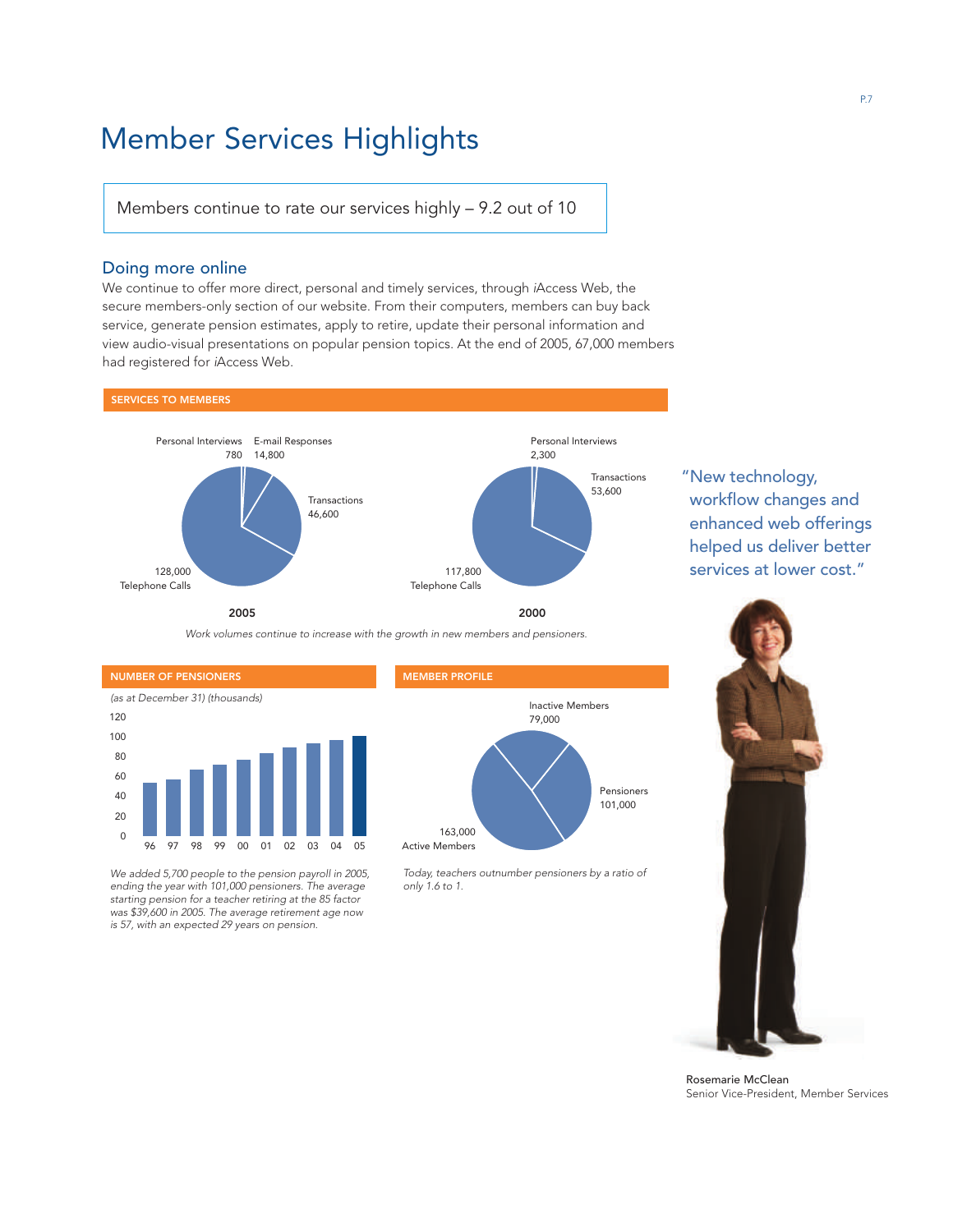## Member Services Highlights

Members continue to rate our services highly – 9.2 out of 10

### Doing more online

We continue to offer more direct, personal and timely services, through iAccess Web, the secure members-only section of our website. From their computers, members can buy back service, generate pension estimates, apply to retire, update their personal information and view audio-visual presentations on popular pension topics. At the end of 2005, 67,000 members had registered for iAccess Web.



"New technology, workflow changes and enhanced web offerings helped us deliver better services at lower cost."

Work volumes continue to increase with the growth in new members and pensioners.



We added 5,700 people to the pension payroll in 2005, ending the year with 101,000 pensioners. The average starting pension for a teacher retiring at the 85 factor was \$39,600 in 2005. The average retirement age now is 57, with an expected 29 years on pension.

#### MEMBER PROFILE



Today, teachers outnumber pensioners by a ratio of only 1.6 to 1.



Rosemarie McClean Senior Vice-President, Member Services